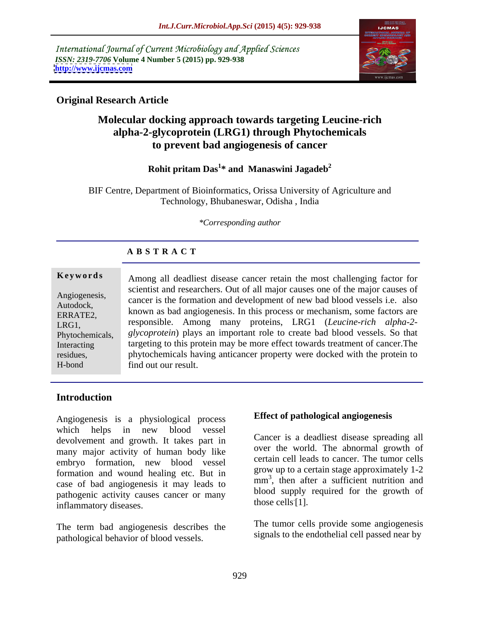International Journal of Current Microbiology and Applied Sciences *ISSN: 2319-7706* **Volume 4 Number 5 (2015) pp. 929-938 <http://www.ijcmas.com>**



# **Original Research Article**

# **Molecular docking approach towards targeting Leucine-rich alpha-2-glycoprotein (LRG1) through Phytochemicals to prevent bad angiogenesis of cancer**

# **Rohit pritam Das<sup>1</sup> \* and Manaswini Jagadeb<sup>2</sup>**

BIF Centre, Department of Bioinformatics, Orissa University of Agriculture and Technology, Bhubaneswar, Odisha , India

*\*Corresponding author*

## **A B S T R A C T**

H-bond

**Keywords** Among all deadliest disease cancer retain the most challenging factor for scientist and researchers. Out of all major causes one of the major causes of Angiogenesis,<br>
cancer is the formation and development of new bad blood vessels i.e. also Autodock,<br>
FRRATE? Known as bad angiogenesis. In this process or mechanism, some factors are responsible. Among many proteins, LRG1 (*Leucine-rich alpha-2-* LRG1, Phytochemicals, glycoprotein) plays an important role to create bad blood vessels. So that Interacting targeting to this protein may be more effect towards treatment of cancer. The residues, having anticancer property were docked with the protein to find out our result. ERRATE2,  $\blacksquare$  Known as bad anglogenesis. In this process of mechanism, some factors are

# **Introduction**

Angiogenesis is a physiological process which helps in new blood vessel devolvement and growth. It takes part in many major activity of human body like embryo formation, new blood vessel formation and wound healing etc. But in case of bad angiogenesis it may leads to pathogenic activity causes cancer or many blood supply<br>inflammatory discoses inflammatory diseases.

The term bad angiogenesis describes the pathological behavior of blood vessels.

### **Effect of pathological angiogenesis**

Cancer is a deadliest disease spreading all over the world. The abnormal growth of certain cell leads to cancer. The tumor cells grow up to a certain stage approximately 1-2 mm<sup>3</sup>, then after a sufficient nutrition and blood supply required for the growth of those cells  $[1]$ .

The tumor cells provide some angiogenesis signals to the endothelial cell passed near by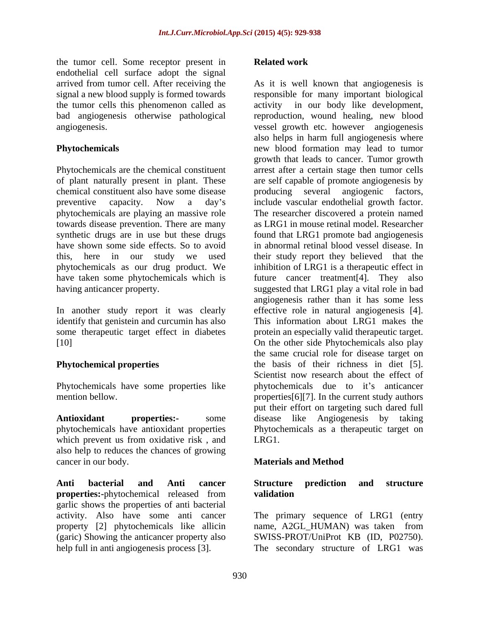the tumor cell. Some receptor present in endothelial cell surface adopt the signal

chemical constituent also have some disease phytochemicals are playing an massive role

some therapeutic target effect in diabetes

Phytochemicals have some properties like

which prevent us from oxidative risk, and LRG1. also help to reduces the chances of growing cancer in our body. Materials and Method

**Anti bacterial and Anti cancer properties:-**phytochemical released from **validation** garlic shows the properties of anti bacterial activity. Also have some anti cancer The primary sequence of LRG1 (entry property [2] phytochemicals like allicin (garic) Showing the anticancer property also SWISS-PROT/UniProt KB (ID, P02750). help full in anti angiogenesis process [3]. The secondary structure of LRG1 was

### **Related work**

arrived from tumor cell. After receiving the As it is well known that angiogenesis is signal a new blood supply is formed towards responsible for many important biological the tumor cells this phenomenon called as activity in our body like development, bad angiogenesis otherwise pathological reproduction, wound healing, new blood angiogenesis. vessel growth etc. however angiogenesis **Phytochemicals** new blood formation may lead to tumor Phytochemicals are the chemical constituent arrest after a certain stage then tumor cells of plant naturally present in plant. These are self capable of promote angiogenesis by preventive capacity. Now a day's include vascular endothelial growth factor. towards disease prevention. There are many as LRG1 in mouse retinal model. Researcher synthetic drugs are in use but these drugs found that LRG1 promote bad angiogenesis have shown some side effects. So to avoid in abnormal retinal blood vessel disease. In this, here in our study we used their study report they believed that the phytochemicals as our drug product. We inhibition of LRG1 is a therapeutic effect in have taken some phytochemicals which is future cancer treatment[4]. They also having anticancer property. suggested that LRG1 play a vital role in bad In another study report it was clearly effective role in natural angiogenesis [4]. identify that genistein and curcumin has also This information about LRG1 makes the [10] On the other side Phytochemicals also play **Phytochemical properties** the basis of their richness in diet [5]. mention bellow. properties[6][7]. In the current study authors **Antioxidant properties:-** some disease like Angiogenesis by taking phytochemicals have antioxidant properties Phytochemicals as a therapeutic target on also helps in harm full angiogenesis where growth that leads to cancer. Tumor growth producing several angiogenic factors, The researcher discovered a protein named angiogenesis rather than it has some less protein an especially valid therapeutic target. the same crucial role for disease target on Scientist now research about the effect of phytochemicals due to it's anticancer put their effort on targeting such dared full LRG1.

### **Materials and Method**

### **Structure prediction and structure validation**

name, A2GL\_HUMAN) was taken from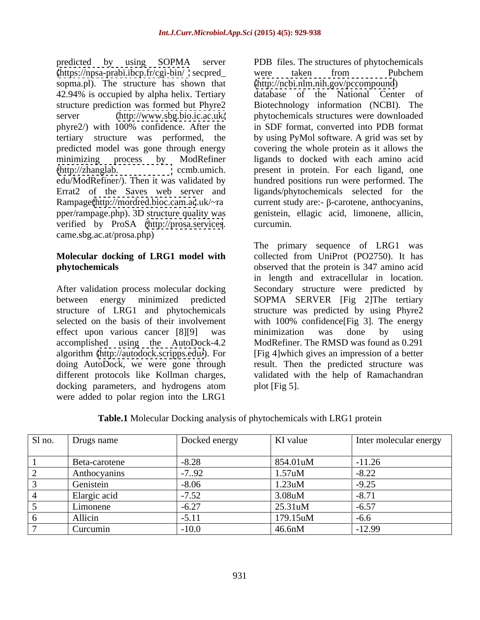[\(https://npsa-prabi.ibcp.fr/cgi-bin/](https://npsa-prabi.ibcp.fr/cgi-bin/) secpred\_ sopma.pl). The structure has shown that predicted model was gone through energy Rampage[\(http://mordred.bioc.cam.ac](http://mordred.bioc.cam.ac).uk/~ra current study are:- β-carotene, anthocyanins, pper/rampage.php). 3D structure quality was verified by ProSA [\(http://prosa.services](http://prosa.services). came.sbg.ac.at/prosa.php)

effect upon various cancer [8][9] was minimization was done by using docking parameters, and hydrogens atom plot [Fig 5]. were added to polar region into the LRG1

predicted by using SOPMA server PDB files. The structures of phytochemicals 42.94% is occupied by alpha helix. Tertiary database of the National Center of structure prediction was formed but Phyre2 Biotechnology information (NCBI). The server [\(http://www.sbg.bio.ic.ac.uk/](http://www.sbg.bio.ic.ac.uk/) phytochemicals structures were downloaded phyre2/) with 100% confidence. After the in SDF format, converted into PDB format tertiary structure was performed, the by using PyMol software. A grid was set by minimizing process by ModRefiner ligands to docked with each amino acid [\(http://zhanglab.](http://zhanglab) ccmb.umich. present in protein. For each ligand, one edu/ModRefiner/). Then it was validated by hundred positions run were performed. The Errat2 of the Saves web server and ligands/phytochemicals selected for the were taken from Pubchem [\(http://ncbi.nlm.nih.gov/pccompound](http://ncbi.nlm.nih.gov/pccompound)) covering the whole protein as it allows the current study are:-  $\beta$ -carotene, anthocyanins, genistein, ellagic acid, limonene, allicin, curcumin.

**Molecular docking of LRG1 model with** collected from UniProt (PO2750). It has **phytochemicals** observed that the protein is 347 amino acid After validation process molecular docking Secondary structure were predicted by between energy minimized predicted SOPMA SERVER [Fig 2]The tertiary structure of LRG1 and phytochemicals structure was predicted by using Phyre2 selected on the basis of their involvement with 100% confidence[Fig 3]. The energy accomplished using the AutoDock-4.2 ModRefiner. The RMSD was found as 0.291 algorithm [\(http://autodock.scripps.edu/](http://autodock.scripps.edu/)). For [Fig 4]which gives an impression of a better doing AutoDock, we were gone through result. Then the predicted structure was different protocols like Kollman charges, validated with the help of Ramachandran The primary sequence of LRG1 was in length and extracellular in location. minimization was done by using plot  $[Fig 5]$ .

**Table.1** Molecular Docking analysis of phytochemicals with LRG1 protein

| Sl no. Drugs name                    | Docked energy | KI value   | Inter molecular energy |
|--------------------------------------|---------------|------------|------------------------|
|                                      |               |            |                        |
| Beta-carotene                        |               | 854.01uM   | 11.0 <sub>c</sub>      |
| Anthocyanins                         |               | 1.57uM     | $\Omega$<br>$-0.44$    |
| Genistein                            | $-8.06$       | $1.23$ uM  | $-7.4.$                |
| Elargic acid                         |               | 3.08uM     | $-0.1$                 |
| $\overline{\phantom{a}}$<br>Limonene | .∪.∠ /        | $25.31$ uM | -6.5′                  |
| Allicin                              | $-5.11$       | 179.15uM   |                        |
| Curcum                               | -10.0         | 46.6nM     | .1299                  |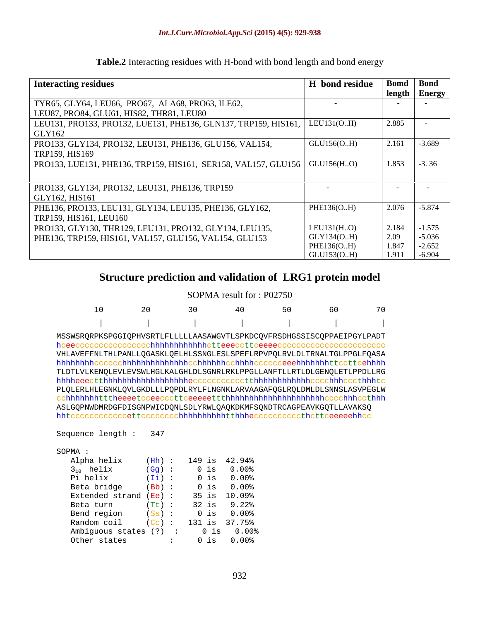| <b>Interacting residues</b>                                                  | <b>H</b> -bond residue | <b>Bomd</b> Bond |                 |
|------------------------------------------------------------------------------|------------------------|------------------|-----------------|
|                                                                              |                        |                  | length   Energy |
| TYR65, GLY64, LEU66, PRO67, ALA68, PRO63, ILE62,                             |                        |                  |                 |
| LEU87, PRO84, GLU61, HIS82, THR81, LEU80                                     |                        |                  |                 |
| LEU131, PRO133, PRO132, LUE131, PHE136, GLN137, TRP159, HIS161, LEU131(OH)   |                        | 2.885            |                 |
| GLY162                                                                       |                        |                  |                 |
| PRO133, GLY134, PRO132, LEU131, PHE136, GLU156, VAL154,                      | $\vert$ GLU156(O.H)    | 2.161            | $-3.689$        |
| TRP159, HIS169                                                               |                        |                  |                 |
| PRO133, LUE131, PHE136, TRP159, HIS161, SER158, VAL157, GLU156   GLU156(H.O) |                        | 1.853            | $-3.36$         |
|                                                                              |                        |                  |                 |
|                                                                              |                        |                  |                 |
| PRO133, GLY134, PRO132, LEU131, PHE136, TRP159                               |                        |                  |                 |
| GLY162, HIS161                                                               |                        |                  |                 |
| PHE136, PRO133, LEU131, GLY134, LEU135, PHE136, GLY162,                      | PHE136(O.H)            | 2.076            | $-5.874$        |
| TRP159, HIS161, LEU160                                                       |                        |                  |                 |
| PRO133, GLY130, THR129, LEU131, PRO132, GLY134, LEU135,                      | LEU131(H.0)            | 2.184            | $-1.575$        |
| PHE136, TRP159, HIS161, VAL157, GLU156, VAL154, GLU153                       | GLY134(O.H)            | 2.09             | $-5.036$        |
|                                                                              | PHE136(O.H)            | 1.847            | $-2.652$        |
|                                                                              | $\vert$ GLU153(OH)     | 1.911            | $-6.904$        |

| <b>Table.2</b> Interacting residues with H-bond with bond length and bond energy |  |
|----------------------------------------------------------------------------------|--|
|                                                                                  |  |

# **Structure prediction and validation of LRG1 protein model**

|                      |  | SOPMA result for: P02750 |                                                                         |  |
|----------------------|--|--------------------------|-------------------------------------------------------------------------|--|
|                      |  |                          |                                                                         |  |
|                      |  |                          |                                                                         |  |
|                      |  |                          | MSSWSRQRPKSPGGIQPHVSRTLFLLLLLLAASAWGVTLSPKDCQVFRSDHGSSISCQPPAEIPGYLPADT |  |
|                      |  |                          |                                                                         |  |
|                      |  |                          | VHLAVEFFNLTHLPANLLQGASKLQELHLSSNGLESLSPEFLRPVPQLRVLDLTRNALTGLPPGLFQASA  |  |
|                      |  |                          |                                                                         |  |
|                      |  |                          | TLDTLVLKENQLEVLEVSWLHGLKALGHLDLSGNRLRKLPPGLLANFTLLRTLDLGENQLETLPPDLLRG  |  |
|                      |  |                          |                                                                         |  |
|                      |  |                          | PLQLERLHLEGNKLQVLGKDLLLPQPDLRYLFLNGNKLARVAAGAFQGLRQLDMLDLSNNSLASVPEGLW  |  |
|                      |  |                          |                                                                         |  |
|                      |  |                          | ASLGQPNWDMRDGFDISGNPWICDQNLSDLYRWLQAQKDKMFSQNDTRCAGPEAVKGQTLLAVAKSQ     |  |
|                      |  |                          |                                                                         |  |
|                      |  |                          |                                                                         |  |
| Sequence length: 347 |  |                          |                                                                         |  |
|                      |  |                          |                                                                         |  |

| SOPMA : |  |  |
|---------|--|--|
|---------|--|--|

| Alpha helix<br>149 is 42.94%<br>(Hh) :        |  |  |
|-----------------------------------------------|--|--|
| $3_{10}$ helix<br>$0$ is $0.00$ %<br>$(Gg)$ : |  |  |
| Pi helix<br>$0.00$ %<br>$(Ii)$ :<br>0 is      |  |  |
| Beta bridge<br>$0$ is $0.00$ %<br>$(Bb)$ :    |  |  |
| Extended strand (Ee) :<br>35 is 10.09%        |  |  |
| 32 is 9.22%<br>$(Tt)$ :<br>Beta turn          |  |  |
| Bend region<br>$0$ is $0.00$ %<br>$(Ss)$ :    |  |  |
| $(Cc)$ : 131 is 37.75%<br>Random coil         |  |  |
| $0$ is $0.00$ %<br>Ambiguous states (?) :     |  |  |
| $0.00$ %<br>Other states<br>) is              |  |  |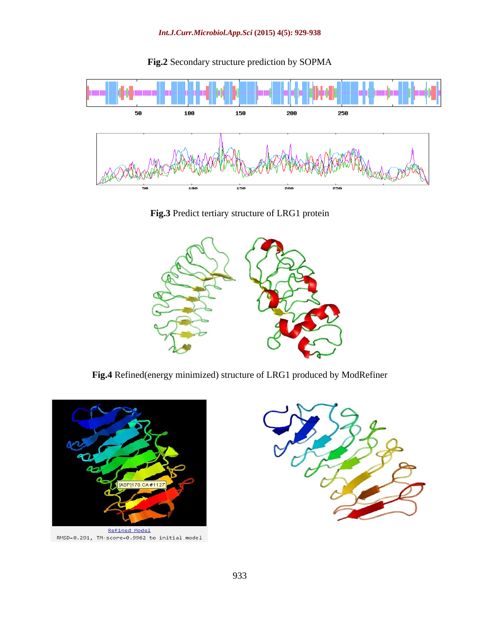

**Fig.2** Secondary structure prediction by SOPMA





**Fig.4** Refined(energy minimized) structure of LRG1 produced by ModRefiner



RMSD=0.291, TM-score=0.9962 to initial model

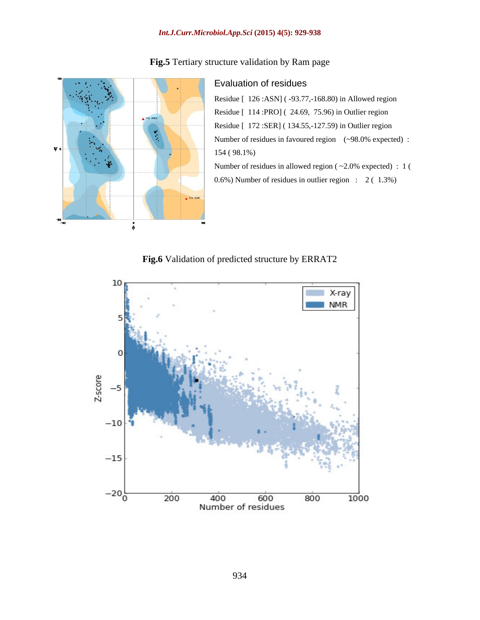### *Int.J.Curr.Microbiol.App.Sci* **(2015) 4(5): 929-938**



# **Fig.5** Tertiary structure validation by Ram page

### Evaluation of residues

Residue [ 126 :ASN] ( -93.77,-168.80) in Allowed region Residue [ 114 :PRO] ( 24.69, 75.96) in Outlier region Residue [ 172 :SER] ( 134.55,-127.59) in Outlier region Number of residues in favoured region (~98.0% expected) : 154 ( 98.1%) Number of residues in allowed region ( ~2.0% expected) : 1 ( 0.6%) Number of residues in outlier region : 2 ( 1.3%)

### **Fig.6** Validation of predicted structure by ERRAT2

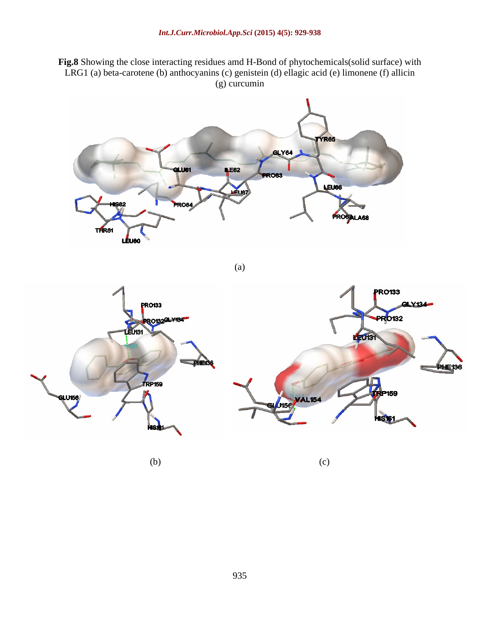**Fig.8** Showing the close interacting residues amd H-Bond of phytochemicals(solid surface) with LRG1 (a) beta-carotene (b) anthocyanins (c) genistein (d) ellagic acid (e) limonene (f) allicin (g) curreumin (g) curcumin



(a)

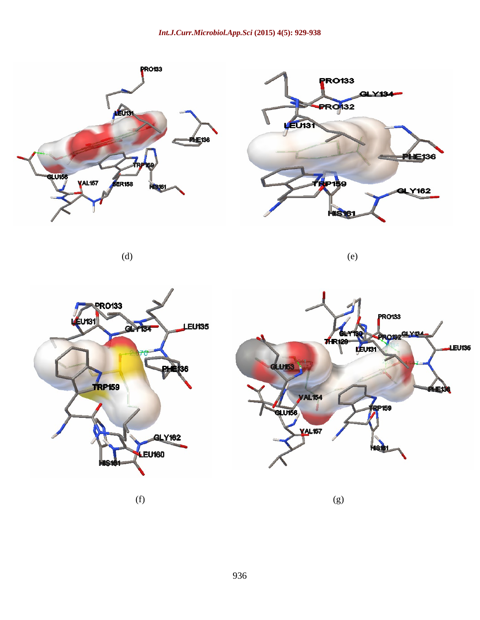

(d) (e)





 $(f)$  (g)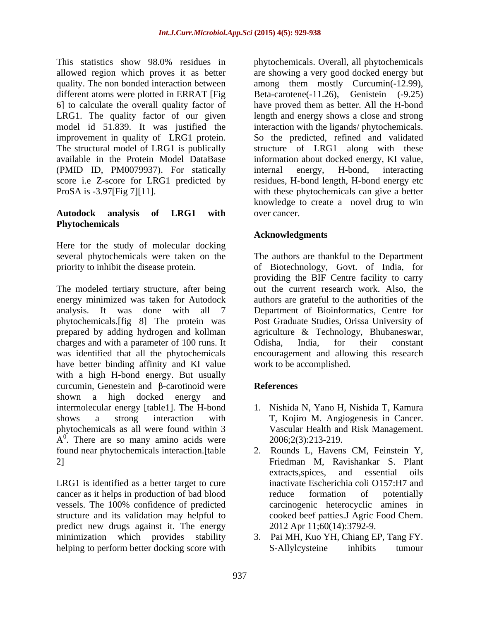6] to calculate the overall quality factor of have proved them as better. All the H-bond LRG1. The quality factor of our given (PMID ID, PM0079937). For statically internal energy, H-bond, interacting

### **Autodock analysis of LRG1 with Phytochemicals**

Here for the study of molecular docking several phytochemicals were taken on the

The modeled tertiary structure, after being out the current research work. Also, the energy minimized was taken for Autodock authors are grateful to the authorities of the analysis. It was done with all 7 Department of Bioinformatics, Centre for phytochemicals.[fig 8] The protein was Post Graduate Studies, Orissa University of prepared by adding hydrogen and kollman agriculture & Technology, Bhubaneswar, charges and with a parameter of 100 runs. It Colisha, India, for their constant was identified that all the phytochemicals encouragement and allowing this research have better binding affinity and KI value with a high H-bond energy. But usually curcumin, Genestein and  $\beta$ -carotinoid were **References** shown a high docked energy and intermolecular energy [table1]. The H-bond shows a strong interaction with T, Kojiro M. Angiogenesis in Cancer. phytochemicals as all were found within 3  $A^0$ . There are so many amino acids were  $2006;2(3):213-219$ . found near phytochemicals interaction.[table 2] Friedman M, Ravishankar S. Plant

LRG1 is identified as a better target to cure cancer as it helps in production of bad blood reduce formation of potentially vessels. The 100% confidence of predicted structure and its validation may helpful to predict new drugs against it. The energy 2012 Apr 11:60(14):3792-9. predict new drugs against it. The energy  $2012$  Apr 11;60(14):3792-9.<br>minimization which provides stability 3. Pai MH, Kuo YH, Chiang EP, Tang FY. helping to perform better docking score with S-Allylcysteine inhibits tumour

This statistics show 98.0% residues in phytochemicals. Overall, all phytochemicals allowed region which proves it as better are showing a very good docked energy but quality. The non bonded interaction between among them mostly Curcumin(-12.99), different atoms were plotted in ERRAT [Fig Beta-carotene(-11.26), Genistein (-9.25) model id 51.839. It was justified the interaction with the ligands/ phytochemicals. improvement in quality of LRG1 protein. So the predicted, refined and validated The structural model of LRG1 is publically structure of LRG1 along with these available in the Protein Model DataBase information about docked energy, KI value, score i.e Z-score for LRG1 predicted by residues, H-bond length, H-bond energy etc ProSA is -3.97[Fig 7][11]. with these phytochemicals can give a better have proved them as better. All the H-bond length and energy shows a close and strong internal energy, H-bond, interacting knowledge to create a novel drug to win over cancer.

# **Acknowledgments**

priority to inhibit the disease protein. of Biotechnology, Govt. of India, for The authors are thankful to the Department providing the BIF Centre facility to carry Odisha, India, for their constant work to be accomplished.

## **References**

- 1. Nishida N, Yano H, Nishida T, Kamura Vascular Health and Risk Management. 2006;2(3):213-219.
- 2. Rounds L, Havens CM, Feinstein Y, extracts,spices, and essential oils inactivate Escherichia coli O157:H7 and reduce formation of potentially carcinogenic heterocyclic amines in cooked beef patties.J Agric Food Chem.
- S-Allylcysteine inhibits tumour